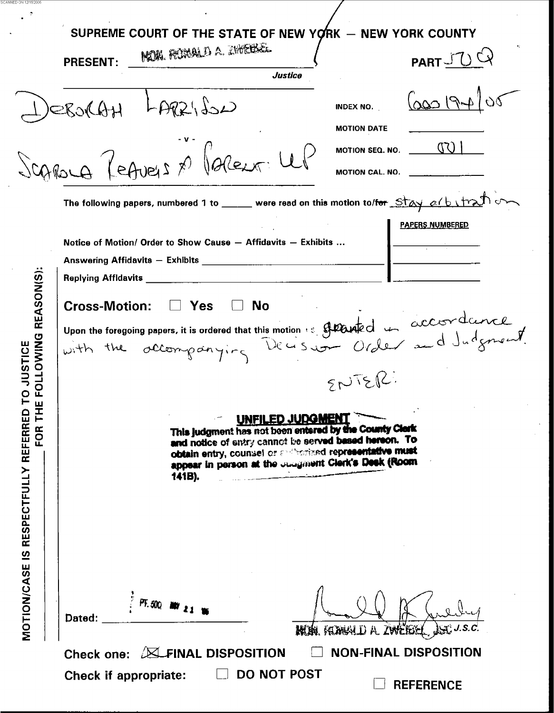|                                                   | SUPREME COURT OF THE STATE OF NEW YORK - NEW YORK COUNTY                                                                                                                                                                                                         |
|---------------------------------------------------|------------------------------------------------------------------------------------------------------------------------------------------------------------------------------------------------------------------------------------------------------------------|
|                                                   | MON. ROMALD A. ZWEBEL<br><b>PART</b><br><b>PRESENT:</b><br>Justice                                                                                                                                                                                               |
|                                                   | $-9100$<br>LARRIJON<br>EBORAH<br><b>INDEX NO.</b><br><b>MOTION DATE</b><br>MOTION SEQ. NO. $\qquad \qquad \qquad \qquad \mathbb{C}$                                                                                                                              |
|                                                   | Scarbus ReAvers & Valeur: UP<br>MOTION CAL. NO.                                                                                                                                                                                                                  |
|                                                   | The following papers, numbered 1 to _____ were read on this motion to/for $Stay$ a (b $trall$ )                                                                                                                                                                  |
|                                                   | <b>PAPERS NUMBERED</b><br>Notice of Motion/ Order to Show Cause - Affidavits - Exhibits                                                                                                                                                                          |
|                                                   |                                                                                                                                                                                                                                                                  |
|                                                   | Replying Affidavits <b>All Accepts Accepts and Accepts Accepts</b> Accepts and Accepts and Accepts and Accepts and Accepts and Accepts and Accepts and Accepts and Accepts and Accepts and Accepts and Accepts and Accepts and Acce                              |
| FOLLOWING REASON(S)                               | No<br><b>Cross-Motion:</b><br>Yes                                                                                                                                                                                                                                |
|                                                   | Upon the foregoing papers, it is ordered that this motion is stranged in accordance                                                                                                                                                                              |
|                                                   |                                                                                                                                                                                                                                                                  |
|                                                   | 5N55R                                                                                                                                                                                                                                                            |
| REFERRED<br>՟<br>FOR <sup>-</sup><br>RESPECTFULLY | UNFILED JUDGMENT<br>This judgment has not been entered by the County Clerk<br>and notice of entry cannot be served based hereon. To<br>obtain entry, counsel or and horized representative must<br>appear in person at the Judgment Clerk's Deek (Room<br>141B). |
| $\overline{\mathbf{z}}$                           |                                                                                                                                                                                                                                                                  |
| <b>MOTION/CASE</b>                                | PF. 500 MW 2<br>Dated:<br>J.S.C<br>MIN. KIMALD A ZWEECH                                                                                                                                                                                                          |
|                                                   | <b>NON-FINAL DISPOSITION</b><br>Check one: <b>ELFINAL DISPOSITION</b>                                                                                                                                                                                            |
|                                                   | DO NOT POST<br><b>Check if appropriate:</b><br><b>REFERENCE</b>                                                                                                                                                                                                  |

SCANNED ON 12/15/200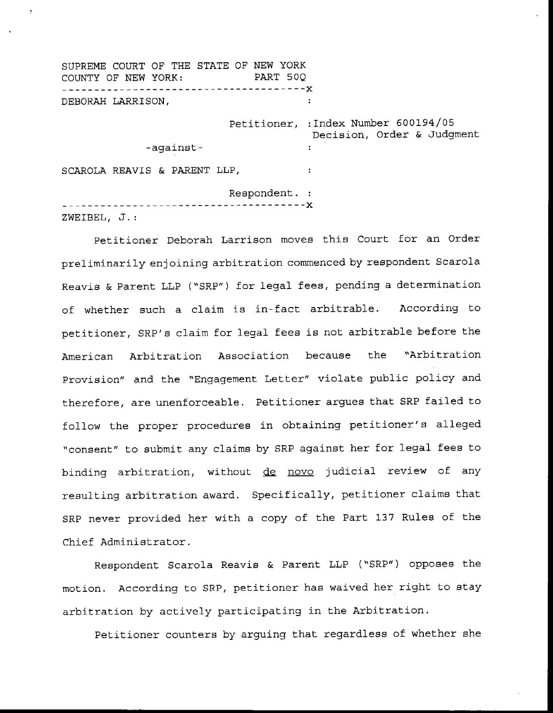SUPREME COURT **OF** THE STATE OF NEW YORK \_\_\_\_\_\_\_\_\_\_\_\_\_\_\_\_\_\_\_\_\_\_\_\_ll\_\_\_\_\_\_\_\_\_l\_ **-X**  COUNTY OF NEW YORK: PART *50Q*  DEBORAH LARRISON, Petitioner, :Index Number 600194/05 Decision, Order *6c* Judgment -against-SCAROLA **REAVIS** & PARENT LLP, Respondent. : 

ZWEIBEL,  $J$ .:

Petitioner Deborah Larrison moves this Court for an Order preliminarily enjoining arbitration commenced by respondent Scarola Reavis & Parent LLP **("SRP")** for legal fees, pending a determination of whether such a claim is in-fact arbitrable. According to petitioner, **SRP's** claim for legal fees is not arbitrable before the American Arbitration Association because the 'Arbitration Provision" and the "Engagement Letter" violate public policy and therefore, are unenforceable. Petitioner argues that SRP failed to follow the proper procedures in obtaining petitioner's alleged "consent" to submit any claims by SRP against her for legal fees to binding arbitration, without de novo judicial review of any resulting arbitration award. Specifically, petitioner claims that SRP never provided her with a copy of the Part 137 Rules of the Chief Administrator.

Respondent Scarola Reavis & Parent LLP ("SRP") opposes the motion. According to SRP, petitioner has waived her right to stay arbitration by actively participating in the Arbitration.

Petitioner counters by arguing that regardless of whether she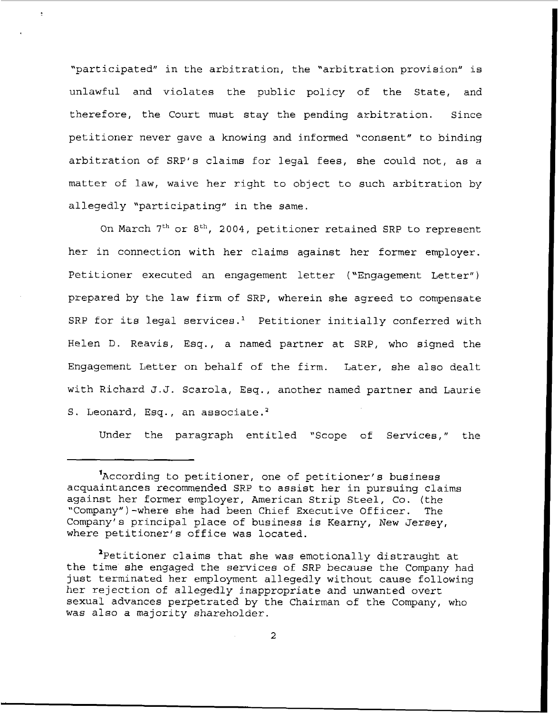"participated" in the arbitration, the 'arbitration provision" is unlawful and violates the public policy of the State, and therefore, the Court must stay the pending arbitration. Since petitioner never gave a knowing and informed "consent" to binding arbitration of SRP'a claims for legal fees, she could not, as a matter of law, waive her right to object to such arbitration by allegedly "participating" in the same.

On March 7<sup>th</sup> or 8<sup>th</sup>, 2004, petitioner retained SRP to represent her in connection with her claims against her former employer. Petitioner executed an engagement letter ("Engagement Letter") prepared by the law firm of SRP, wherein she agreed to compensate SRP for its legal services.' Petitioner initially conferred with Helen D. Reavis, Esq., a named partner at SRP, who signed the Engagement Letter on behalf of the firm. Later, she also dealt with Richard J.J. Scarola, Esq., another named partner and Laurie S. Leonard, Esq., an associate.<sup>2</sup>

Under the paragraph entitled "Scope of Services," the

<sup>&#</sup>x27;According to petitioner, one of petitioner's business acquaintances recommended SRP to assist her in pursuing claims against her former employer, American Strip Steel, Co. (the "Company")-where she had been Chief Executive Officer. The Company's principal place of business is Kearny, New Jersey, where petitioner's office was located.

<sup>&#</sup>x27;Petitioner claims that she was emotionally distraught at the time she engaged the services of SRP because the Company had just terminated her employment allegedly without cause following her rejection of allegedly inappropriate and unwanted overt sexual advances perpetrated by the Chairman of the Company, who was also a majority shareholder.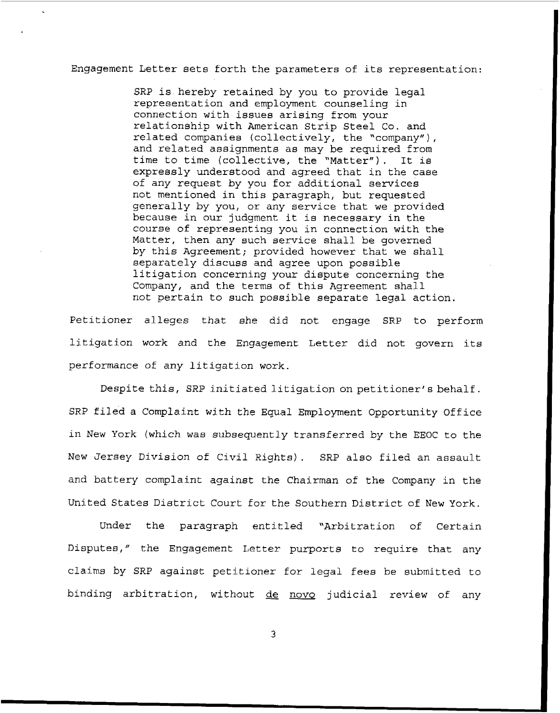Engagement Letter sets forth the parameters of its representation:

SRP is hereby retained by you to provide legal representation and employment counseling in connection with issues arising from your relationship with American Strip Steel Co. and related companies (collectively, the "company") , and related assignments as may be required from time to time (collective, the "Matter"). It is expressly understood and agreed that in the case of any request by you for additional services not mentioned in this paragraph, but requested generally by you, or any service that we provided because in our judgment it is necessary in the course of representing you in connection with the Matter, then any such service shall be governed by this Agreement; provided however that we shall separately discuss and agree upon possible litigation concerning your dispute concerning the Company, and the terms of this Agreement shall not pertain to such possible separate legal action.

Petitioner **alleges** that she **did** not engage SRP to perform litigation work and the Engagement Letter did not govern its performance of any litigation work.

Despite this, SRP initiated litigation on petitioner's behalf. SRP filed a **Complaint** with the **Equal** Employment Opportunity Office in New York (which was subsequently transferred by the EEOC to the New Jersey Division of Civil Rights). SRP also filed an assault and battery complaint against the Chairman of the Company in the United States District Court for the Southern District of New York.

Under the paragraph entitled "Arbitration of Certain Disputes," the Engagement Letter purports to require that any claims by SRP against petitioner for legal **fees** be submitted to binding arbitration, without de novo judicial review of any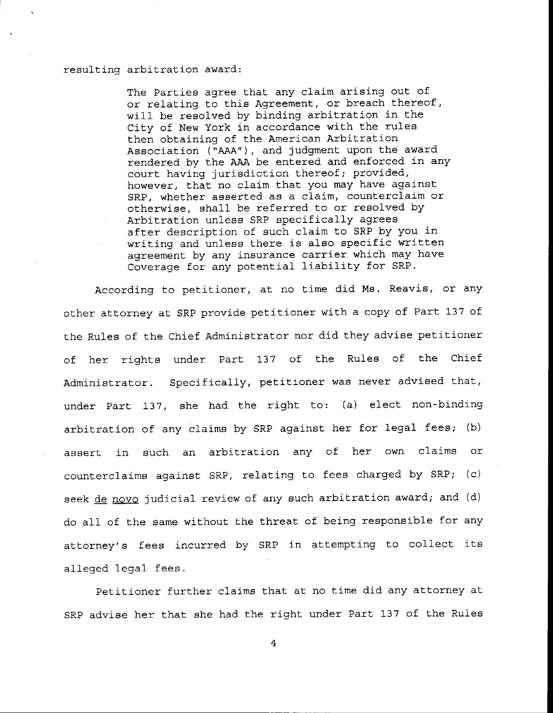## resulting arbitration award:

The Parties agree that any claim arising out of or relating to this Agreement, or breach thereof, will **be** resolved by binding arbitration in the City of New York in accordance with the rulea then obtaining of the American Arbitration Association ("AAA") , and judgment upon the award rendered by the **AAA** be entered and enforced in any court having jurisdiction thereof; provided, however, that no claim that you may have against SRP, whether aaaerted as a claim, counterclaim or otherwise, shall be referred to or resolved by Arbitration unless SRP specifically agrees after description of such claim to SRP by you in writing and unless there is also specific written agreement by any insurance carrier which may have Coverage for any potential liability for SRP.

According to petitioner, at no time did Ms. Reavis, or any other attorney at SRP provide petitioner with a copy of Part 137 of the Rules of the Chief Administrator nor did they advise petitioner of her rights under Part 137 of the Rules of the Chief Administrator. Specifically, petitioner was never advised that, under Part 137, she had the right to: (a) elect non-binding arbitration of any claims by SRP against her for legal fees; **(b)**  assert in such an arbitration any of her own claims or counterclaims against SRP, relating to fees charged by SRP; (c) seek de novo judicial review of any such arbitration award; and (d) do all of the same without the threat of being responsible for any attorney's fees incurred by SRP in attempting to collect its alleged legal fees.

Petitioner further claims that at no time did any attorney at SRP advise her that she had the right under Part 137 of the Rules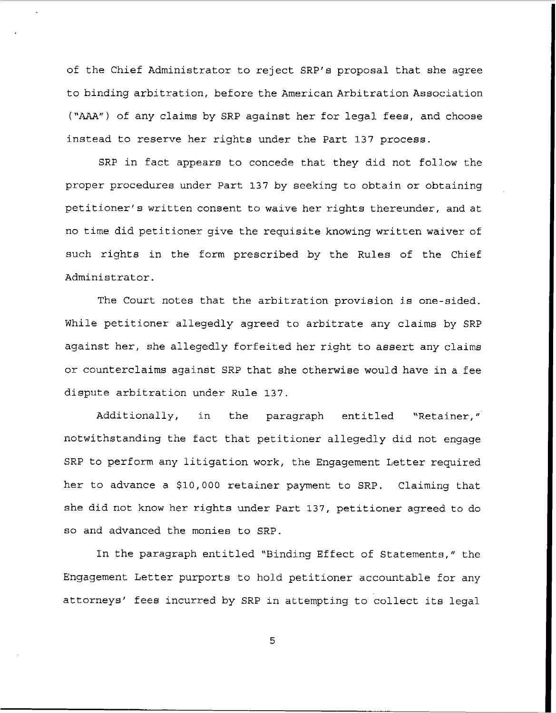of the Chief Administrator to reject **SRP's** proposal that she agree to binding arbitration, before the American Arbitration Association ("AAA") of any claims by SRP against her for legal fees, and choose instead to reserve her rights under the Part 137 process.

SRP in fact appeara to concede that they did not follow the proper procedures under Part 137 by seeking to obtain or obtaining petitioner's written consent to waive her rights thereunder, and at no time did petitioner give the requisite knowing written waiver of such rights in the form prescribed by the Rules of the Chief Administrator.

The Court notes that the arbitration proviaion is one-sided. While petitioner allegedly agreed to arbitrate any claims by SRP against her, she allegedly forfeited her right to assert any claims or counterclaims against SRP that she otherwiee would have in a fee dispute arbitration under Rule 137.

Additionally, in the paragraph entitled "Retainer, " notwithstanding the fact that petitioner allegedly did not engage SRP to perform any litigation work, the Engagement Letter required her to advance a \$10,000 retainer payment to SRP. Claiming that she did not know her rights under Part 137, petitioner agreed to do *so* and advanced the monies to SRP.

In the paragraph entitled "Binding Effect of Statements," the Engagement Letter purports to hold petitioner accountable for any attorneys' fees incurred by SRP in attempting to collect its legal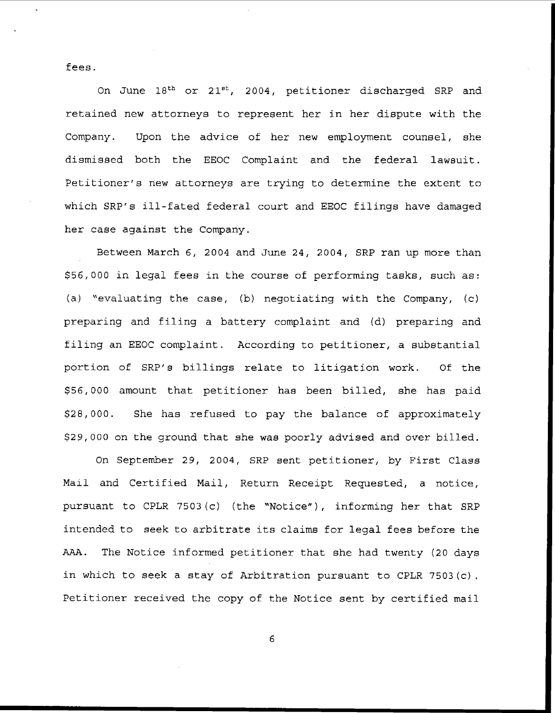fees .

On June 18<sup>th</sup> or 21<sup>st</sup>, 2004, petitioner discharged SRP and retained new attorneys to represent her in her dispute with the Company. Upon the advice of her new employment counsel, she dismissed both the EEOC Complaint and the federal lawsuit. Petitioner's new attorneys are trying to determine the extent to which **SRP's** ill-fated federal court and EEOC filings have damaged her case against the Company.

Between March 6, 2004 and June 24, 2004, SRP ran up more than \$56,000 in legal fees in the course of performing tasks, such as: (a) "evaluating the case, **(b)** negotiating with the Company, (c) preparing and filing a battery complaint and (d) preparing and filing an EEOC complaint. According to petitioner, a aubstantial portion of SRP's billings relate to litigation work. Of the \$56,000 amount that petitioner hag been billed, she has paid \$28,000. She has refused to pay the balance of approximately \$29,000 on the ground that she was poorly advised and over billed.

On September **29,** 2004, SRP sent petitioner, by First Class Mail and Certified Mail, Return Receipt Requested, a notice, pursuant to CPLR 7503(c) (the "Notice"), informing her that SRP intended to seek to arbitrate its claims for legal fees before the AAA. The Notice informed petitioner that she had twenty (20 days in which to seek a stay of Arbitration pursuant to CPLR 7503(c). Petitioner received the copy of the Notice sent by certified mail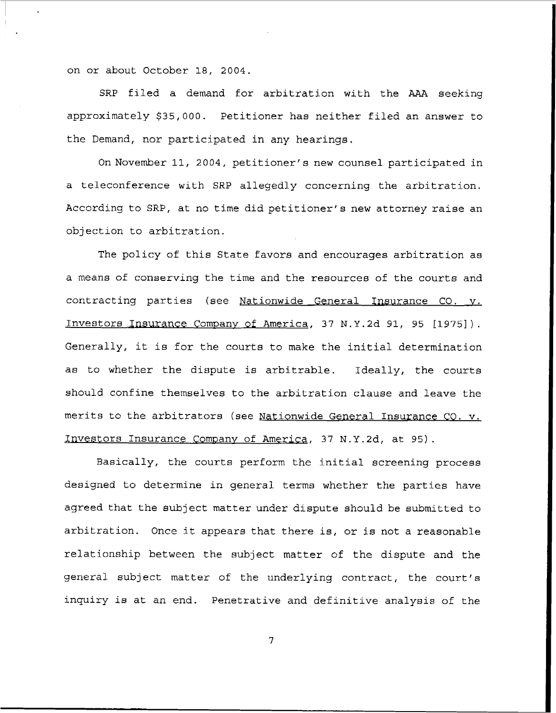on or about October 18, 2004.

SRP filed a demand for arbitration with the AAA seeking approximately \$35,000. Petitioner has neither filed an answer to the Demand, nor participated in any hearings.

On November 11, 2004, petitioner's new counsel participated in a teleconference with SRP allegedly concerning the arbitration. According to SRP, at no time did petitioner's new attorney raise an objection to arbitration.

The policy of this State favors and encourages arbitration as a means of conserving the time and the reaources of the courts and contracting parties (see Nationwide General Insurance CO. v. contracting parties (see <u>Nationwide General Insurance CO. y.</u><br>Investors Insurance Company of America, 37 N.Y.2d 91, 95 [1975]). Generally, it is for the courts to make the initial determination as to whether the dispute is arbitrable. Ideally, the courts should confine themselves to the arbitration clause and leave the merits to the arbitrators (see Nationwide General Insurance *CO.* v. Investors Insurance *Company of America*, 37 N.Y.2d, at 95).

Basically, the courts perform the initial screening process designed to determine in general terms whether the parties have agreed that the subject matter under dispute should be submitted to arbitration. Once it appears that there is, or is not a reasonable relationship between the subject matter of the dispute and the general subject matter of the underlying contract, the court's inquiry is at an end. Penetrative and definitive analysis of the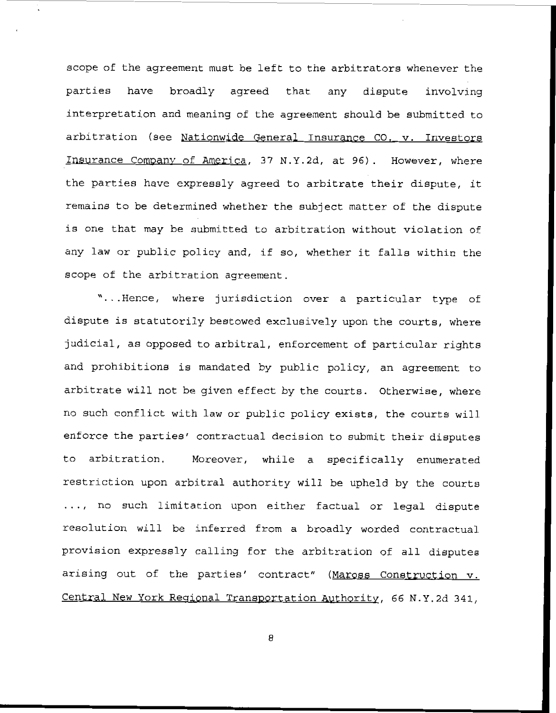scope of the agreement must be left to the arbitrators whenever the parties have broadly agreed that any dispute involving interpretation and meaning of the agreement should be submitted to arbitration (see Nationwide General Insurance CO. v. Investors Insurance Company of America, 37 N.Y.2d, at 96). However, where the parties have expressly agreed to arbitrate their dispute, it remains to be determined whether the subject matter of the dispute is one that may be submitted to arbitration without violation of any law or public policy and, if so, whether it falls within the scope of the arbitration agreement.

". . .Hence, where jurisdiction over a particular type of dispute is statutorily bestowed exclusively upon the courts, where judicial, as opposed to arbitral, enforcement of particular rights and prohibitions is mandated by public policy, an agreement to arbitrate will not be given effect by the courts. Otherwise, where no such conflict with law or public policy exists, the courts will enforce the parties' contractual decision to submit their disputes to arbitration. Moreover, while a specifically enumerated restriction upon arbitral authority will be upheld **by** the courts ..., no such limitation upon either factual or legal dispute resolution will be inferred from a broadly worded contractual provision expressly calling for the arbitration of all disputes arising out of the parties' contract" (Maross Construction v. Central New York Regional Transportation Authority, 66 N.Y.2d 341,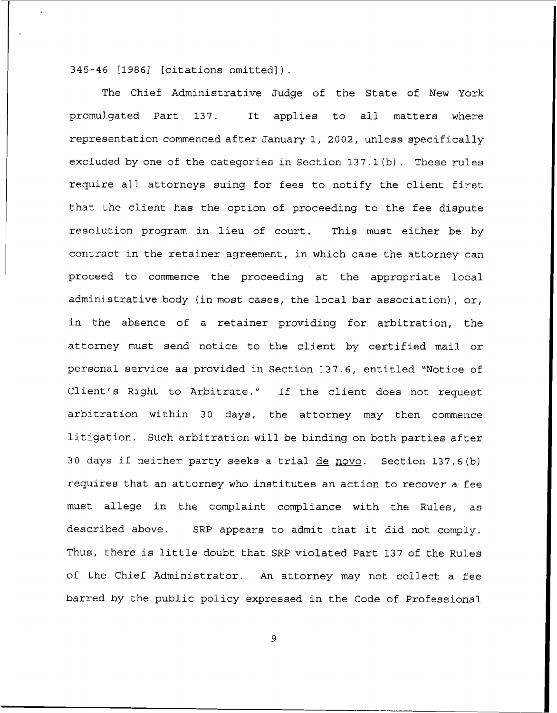345-46 **[1986]** [citations omitted] ) .

The Chief Administrative Judge of the State of New York promulgated Part 137. It applies to all matters where representation commenced after January 1, 2002, unless specifically excluded by one of the categories in Section 137.1 (b) . These rules require all attorneys suing for fees to notify the client first that the client has the option of proceeding to the fee dispute resolution program in lieu of court. Thia must either be by contract in the retainer agreement, in which case the attorney can proceed to commence the proceeding at the appropriate local administrative body (in most cases, the local bar association) , or, in the absence of a retainer providing for arbitration, the attorney must send notice to the client by certified mail or personal service as provided in Section 137.6, entitled "Notice of Client's Right to Arbitrate." If the client does not request arbitration within 30 days, the attorney may then commence litigation. Such arbitration will be binding on both parties after 30 days if neither party seeks a trial de novo. Section 137.6(b) requires that an attorney who institutes an action to recover a fee must allege in the complaint compliance with the Rules, as described above. SRP appears to admit that it did not comply. Thus, there is little doubt that SRP violated Part 137 of the Rules of the Chief Administrator. *An* attorney may not collect a fee barred by the public policy expressed in the Code of Professional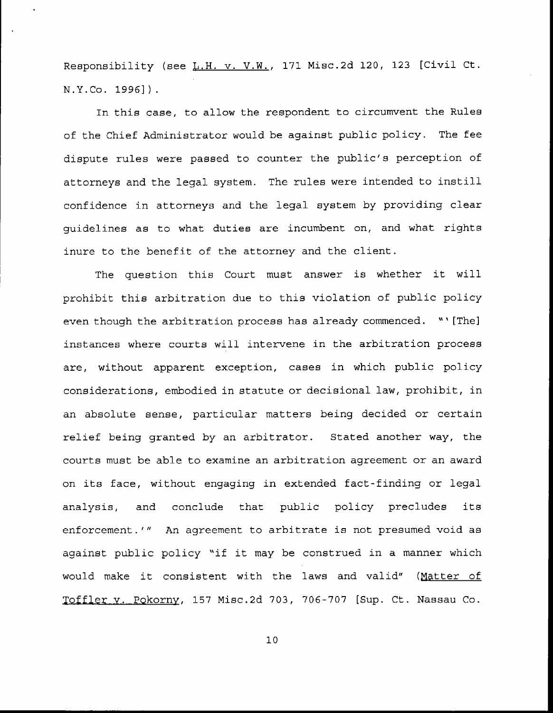Responsibility (see L.H. v. V.W., 171 Misc.2d 120, 123 [Civil Ct. **N.Y.Co. 19961).** 

In this case, **to allow** the respondent to circumvent the Rules of the Chief Administrator would be against public policy. The fee dispute rules were passed to counter the public's perception of attorneys and the legal **system.** The rules were intended to instill confidence in attorneys and the legal system by providing clear guidelines **as** to what duties are incumbent on, and what rights inure to the benefit of the attorney and the client.

The question this Court must answer **is** whether it will prohibit this arbitration due to this violation of public **policy**  even though the arbitration process has already commenced. "' [The] instances where courts will intervene in the arbitration process are, without apparent exception, cases in which public policy considerations, embodied in statute **or** decisional law, prohibit, in an absolute sense, particular matters **being** decided or certain relief being granted **by** an arbitrator. Stated another way, the courts must be **able** to examine an arbitration agreement or an award on its face, without engaging in extended fact-finding or legal analysis, and conclude that public **policy** precludes its enforcement.'" An agreement to arbitrate is not presumed void as against public policy "if it may be construed in a manner which would make it consistent with the laws and valid" (Matter of flex v. &korrw, 157 Misc.2d 703, 706-707 [Sup. **Ct. Nassau** Co.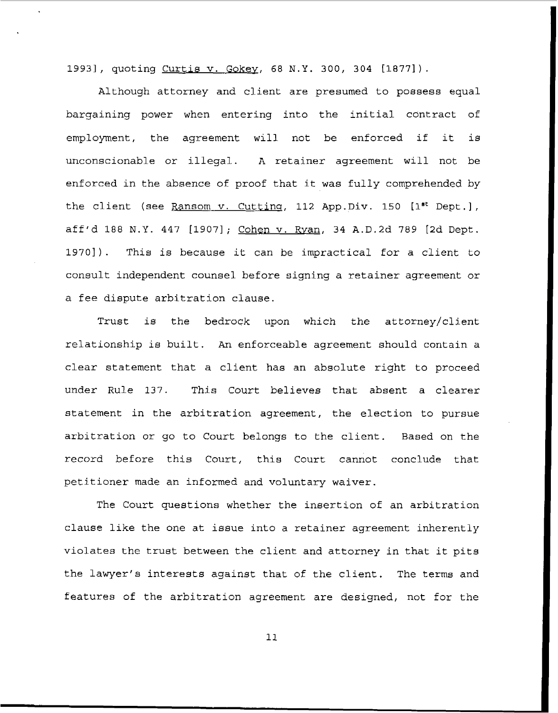<sup>19931</sup>, quoting **Curtis v. Gokev** , **68 N.Y. 300, 304** [18771).

Although attorney and client are presumed to possess equal bargaining power when entering into the initial contract of employment, the agreement will not **be** enforced if it is unconscionable or illegal. **A** retainer agreement will not be enforced in the absence of proof that it was fully comprehended **by**  the client (see Ransom v. Cutting, 112 App.Div. 150 [1<sup>st</sup> Dept.], **aff'd 188 N.Y.** 447 **[1907];** Cohen v. Rva n, **34** A.D.2d 789 **[2d** Dept. 19701). This *is* because it can be impractical for **a** client to consult independent counsel before **signing a** retainer agreement or a fee dispute arbitration clause.

Trust ig the bedrock upon which *the* attorney/client relationship is built. An enforceable agreement should contain a clear statement that a client has an absolute right to proceed under Rule 137. This Court **believes** that absent a clearer statement in the arbitration agreement, the election to pursue arbitration **or** go to Court **belongs** to the client. Based on the record before this Court, this Court cannot conclude that petitioner made an informed and voluntary **waiver.** 

The Court questions whether the insertion of an arbitration clause like the one at issue into a retainer agreement inherently violates the trust between the client and attorney in that it pits the lawyer's interests against that *of* the client. The terms and features of the arbitration agreement are designed, not for the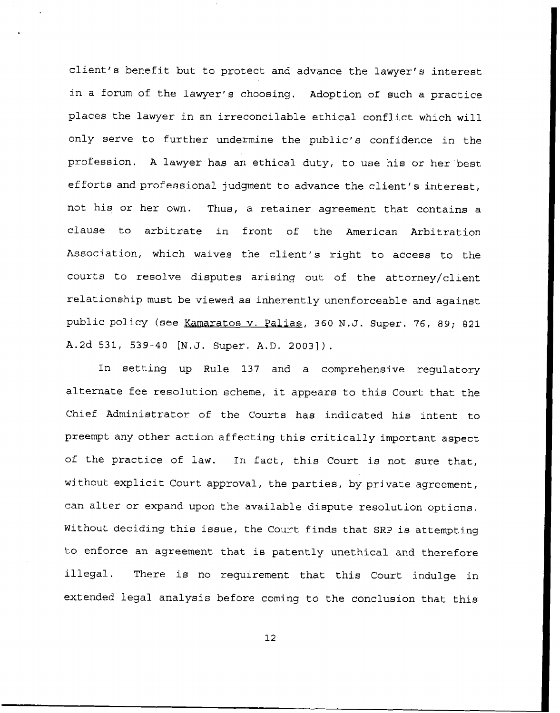client's benefit but to protect and advance the lawyer's interest in a forum of the lawyer's choosing. Adoption of such a practice places the lawyer in an irreconcilable ethical conflict which will only serve to further undermine the public's confidence in the profeesion. **A** lawyer has an ethical duty, to use his or her best efforts and professional judgment to advance the client's interest, not his or her own. Thus, a retainer agreement that contains a clause to arbitrate in front of the American Arbitration Association, which waives the client's right to access to the courts to resolve disputes arising out of the attorney/client relationship must be viewed *a8* inherently unenforceable and against public policy (see Kamaratos v. Palias, 360 N.J. Super. 76, 89; 821 A.2d 531, 539-40 [N.J. Super. **A.D. 20031).** 

In setting up Rule 137 and a comprehensive regulatory alternate fee resolution scheme, it appears to this Court that the Chief Administrator of the Courts has indicated his intent to preempt any other action affecting this critically important aspect of the practice of law. In fact, this Court is not sure that, without explicit Court approval, the parties, by private agreement, can alter or expand upon the available dispute resolution options. Without deciding this issue, the Court finds that SRP is attempting to enforce an agreement that is patently unethical and therefore illegal. There is no requirement that this Court indulge in extended legal analysis before coming to the conclusion that this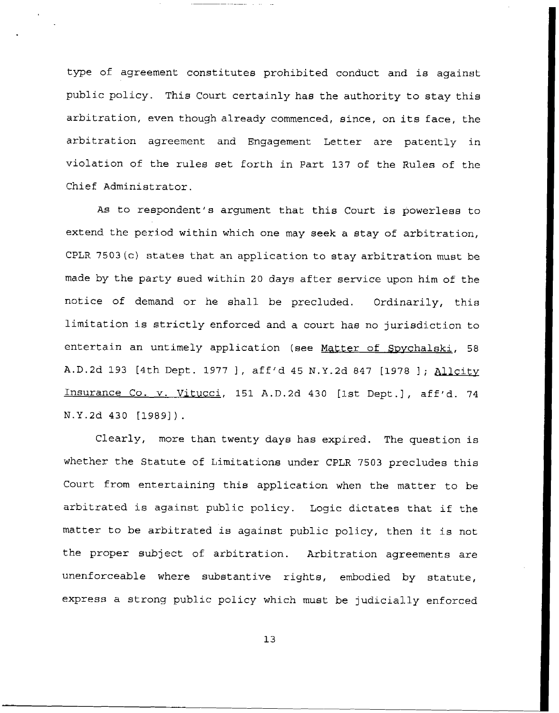type of agreement constitutes prohibited conduct and is against public policy. This Court certainly has the authority to **stay** this arbitration, even though already commenced, since, on its face, the arbitration agreement and Engagement Letter are **patently** in violation of the rules set forth in Part 137 of the **Rules of** the Chief Administrator.

**As** to respondent's argument that this Court **is powerless** to extend the period within which one may seek a Btay *of* arbitration, CPLR 7503(c) states that an application **to** stay arbitration must **be**  made **by** the party sued within 20 days after service upon him of the notice *of* demand or he shall **be** precluded. Ordinarily, this limitation is strictly enforced and a court has no jurisdiction to entertain an untimely application (see Matter of Spychalski, 58 A.D.2d 193 [4th Dept. 1977 ], aff'd 45 N.Y.2d 847 [1978 ]; Allcity Insurance Co. v. Vitucci, 151 A.D.2d 430 [1st Dept.], aff'd. 74 **N.Y.2d 430 [19891).** 

Clearly, **more** than twenty dayB has expired. The question **is**  whether the Statute of Limitations under CPLR 7503 precludes this Court from entertaining this application when the matter to **be**  arbitrated is against public policy. Logic dictates that if the matter to be arbitrated is against **public** policy, then it is not the proper subject of arbitration. Arbitration agreements are unenforceable where substantive rights, embodied by statute, express **a** strong public policy which must be judicially enforced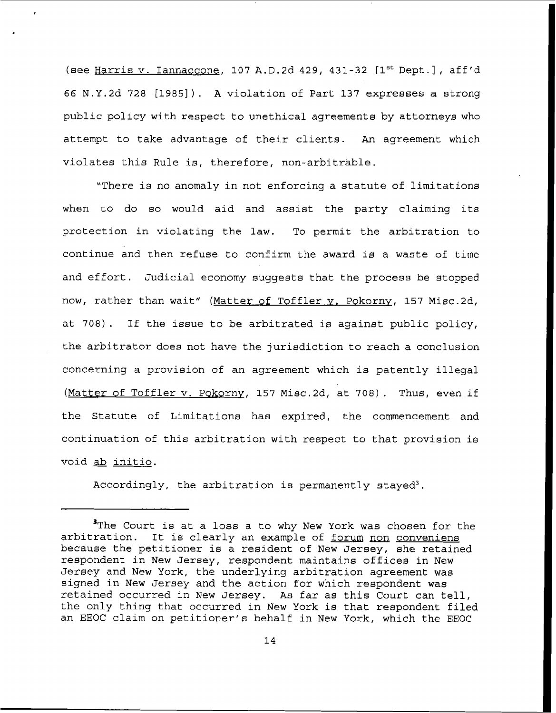(see Harris v. Iannaccone, 107 A.D.2d 429, 431-32 [1<sup>st</sup> Dept.], aff'd 66 N.Y.2d **728 [1985]). A** violation of Part 137 expresses a strong public policy with respect to unethical agreements by attorneys who attempt to take advantage of their clients. *An* agreement which violates this Rule is, therefore, non-arbitrable.

*I* 

"There **is** no anomaly in not enforcing a statute of limitations when to do so would aid and assist the party claiming its protection in violating the law. To permit the arbitration to continue and then refuse to confirm the award is a waste of time and effort. Judicial economy suggests that the process be stopped now, rather than wait" (Matter of Toffler y, Pokorny, 157 Misc.2d, at 708). If the issue to be arbitrated **is** against public policy, the arbitrator **does** not have the jurisdiction to reach a conclusion concerning a provision of an agreement which is patently illegal (Matter of Toffler v. Pokorny, 157 Misc.2d, at 708). Thus, even if the Statute of Limitations has expired, the commencement and continuation of this arbitration with respect to that provision is void ab initio.

Accordingly, the arbitration is permanently stayed<sup>3</sup>.

**<sup>&#</sup>x27;The** Court is at a loss a to why New York was chosen for the arbitration. It is clearly an example of forum non conveniens because the petitioner is a resident of New Jersey, she retained respondent in New Jersey, respondent maintains offices in New Jersey and New York, the underlying arbitration agreement was signed in New Jersey and the action for which respondent was retained occurred in New Jersey. **As** far as this Court can tell, the only thing that occurred in New York is that respondent filed an EEOC claim on petitioner's behalf in New York, which the EEOC